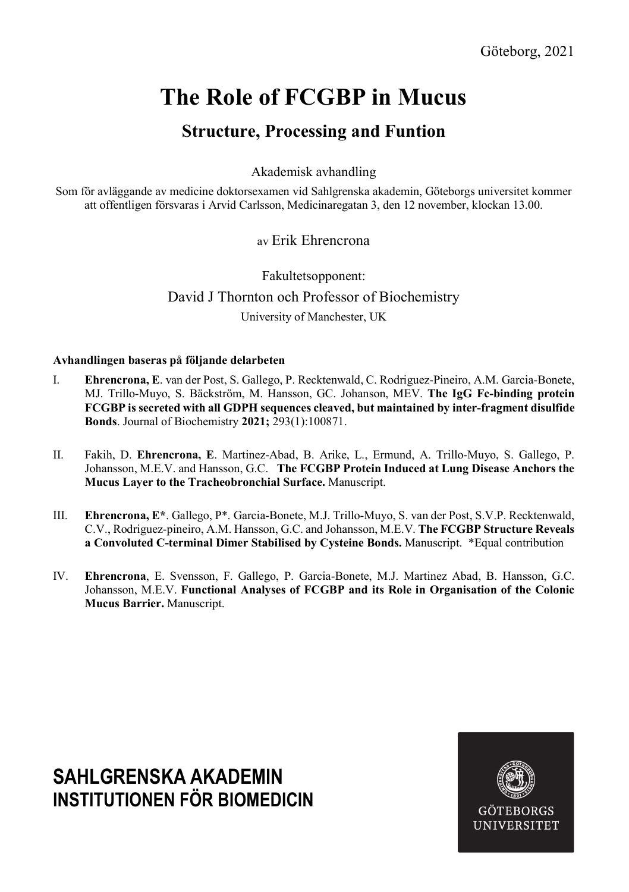# The Role of FCGBP in Mucus

## Structure, Processing and Funtion

Akademisk avhandling

Som för avläggande av medicine doktorsexamen vid Sahlgrenska akademin, Göteborgs universitet kommer att offentligen försvaras i Arvid Carlsson, Medicinaregatan 3, den 12 november, klockan 13.00.

### av Erik Ehrencrona

Fakultetsopponent: David J Thornton och Professor of Biochemistry University of Manchester, UK

#### Avhandlingen baseras på följande delarbeten

- I. Ehrencrona, E. van der Post, S. Gallego, P. Recktenwald, C. Rodriguez-Pineiro, A.M. Garcia-Bonete, MJ. Trillo-Muyo, S. Bäckström, M. Hansson, GC. Johanson, MEV. The IgG Fc-binding protein FCGBP is secreted with all GDPH sequences cleaved, but maintained by inter-fragment disulfide Bonds. Journal of Biochemistry 2021; 293(1):100871.
- II. Fakih, D. Ehrencrona, E. Martinez-Abad, B. Arike, L., Ermund, A. Trillo-Muyo, S. Gallego, P. Johansson, M.E.V. and Hansson, G.C. The FCGBP Protein Induced at Lung Disease Anchors the Mucus Layer to the Tracheobronchial Surface. Manuscript.
- III. Ehrencrona, E\*. Gallego, P\*. Garcia-Bonete, M.J. Trillo-Muyo, S. van der Post, S.V.P. Recktenwald, C.V., Rodriguez-pineiro, A.M. Hansson, G.C. and Johansson, M.E.V. The FCGBP Structure Reveals a Convoluted C-terminal Dimer Stabilised by Cysteine Bonds. Manuscript. \*Equal contribution
- IV. Ehrencrona, E. Svensson, F. Gallego, P. Garcia-Bonete, M.J. Martinez Abad, B. Hansson, G.C. Johansson, M.E.V. Functional Analyses of FCGBP and its Role in Organisation of the Colonic Mucus Barrier. Manuscript.

## SAHI GRENSKA AKADEMIN INSTITUTIONEN FÖR BIOMEDICIN